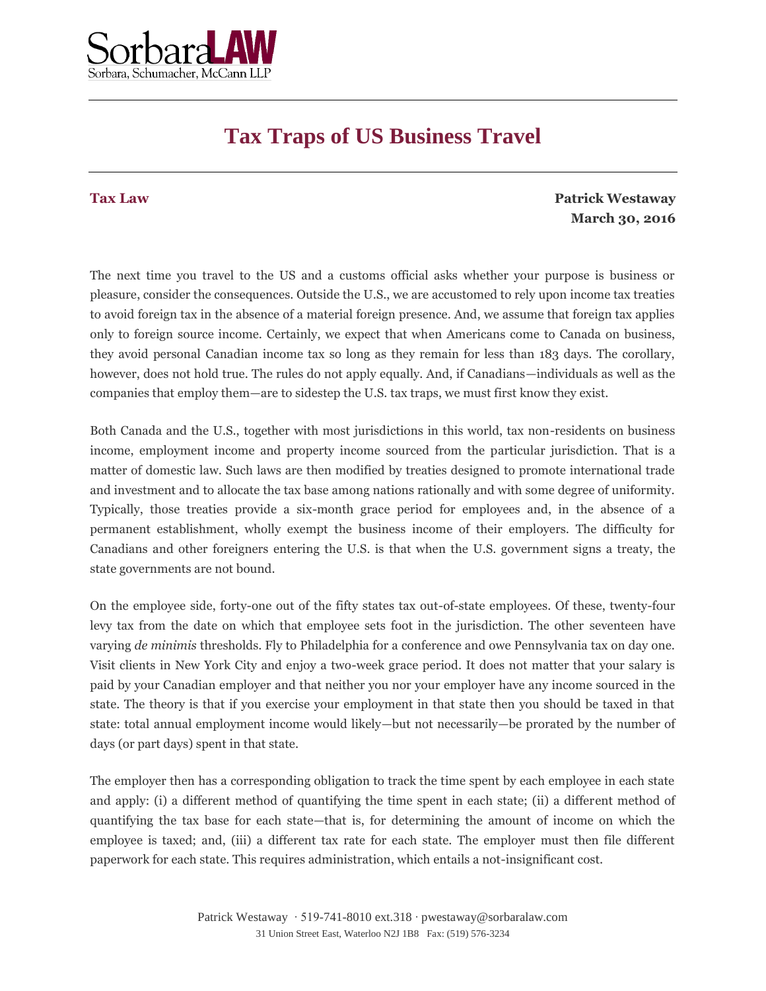

## **Tax Traps of US Business Travel**

## **Tax Law**

**Patrick Westaway March 30, 2016**

The next time you travel to the US and a customs official asks whether your purpose is business or pleasure, consider the consequences. Outside the U.S., we are accustomed to rely upon income tax treaties to avoid foreign tax in the absence of a material foreign presence. And, we assume that foreign tax applies only to foreign source income. Certainly, we expect that when Americans come to Canada on business, they avoid personal Canadian income tax so long as they remain for less than 183 days. The corollary, however, does not hold true. The rules do not apply equally. And, if Canadians—individuals as well as the companies that employ them—are to sidestep the U.S. tax traps, we must first know they exist.

Both Canada and the U.S., together with most jurisdictions in this world, tax non-residents on business income, employment income and property income sourced from the particular jurisdiction. That is a matter of domestic law. Such laws are then modified by treaties designed to promote international trade and investment and to allocate the tax base among nations rationally and with some degree of uniformity. Typically, those treaties provide a six-month grace period for employees and, in the absence of a permanent establishment, wholly exempt the business income of their employers. The difficulty for Canadians and other foreigners entering the U.S. is that when the U.S. government signs a treaty, the state governments are not bound.

On the employee side, forty-one out of the fifty states tax out-of-state employees. Of these, twenty-four levy tax from the date on which that employee sets foot in the jurisdiction. The other seventeen have varying *de minimis* thresholds. Fly to Philadelphia for a conference and owe Pennsylvania tax on day one. Visit clients in New York City and enjoy a two-week grace period. It does not matter that your salary is paid by your Canadian employer and that neither you nor your employer have any income sourced in the state. The theory is that if you exercise your employment in that state then you should be taxed in that state: total annual employment income would likely—but not necessarily—be prorated by the number of days (or part days) spent in that state.

The employer then has a corresponding obligation to track the time spent by each employee in each state and apply: (i) a different method of quantifying the time spent in each state; (ii) a different method of quantifying the tax base for each state—that is, for determining the amount of income on which the employee is taxed; and, (iii) a different tax rate for each state. The employer must then file different paperwork for each state. This requires administration, which entails a not-insignificant cost.